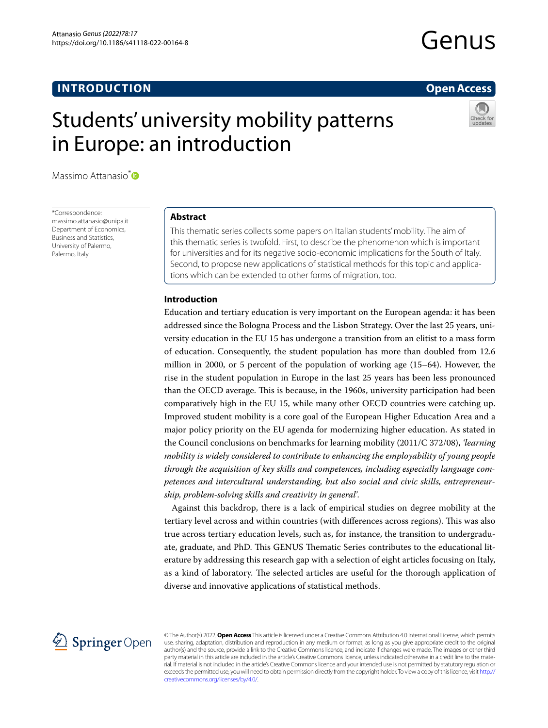# **INTRODUCTION**

# **Open Access**

# Students' university mobility patterns in Europe: an introduction



Massimo Attanasio<sup>\*</sup>

\*Correspondence: massimo.attanasio@unipa.it Department of Economics, Business and Statistics, University of Palermo, Palermo, Italy

# **Abstract**

This thematic series collects some papers on Italian students' mobility. The aim of this thematic series is twofold. First, to describe the phenomenon which is important for universities and for its negative socio-economic implications for the South of Italy. Second, to propose new applications of statistical methods for this topic and applications which can be extended to other forms of migration, too.

### **Introduction**

Education and tertiary education is very important on the European agenda: it has been addressed since the Bologna Process and the Lisbon Strategy. Over the last 25 years, university education in the EU 15 has undergone a transition from an elitist to a mass form of education. Consequently, the student population has more than doubled from 12.6 million in 2000, or 5 percent of the population of working age (15–64). However, the rise in the student population in Europe in the last 25 years has been less pronounced than the OECD average. This is because, in the 1960s, university participation had been comparatively high in the EU 15, while many other OECD countries were catching up. Improved student mobility is a core goal of the European Higher Education Area and a major policy priority on the EU agenda for modernizing higher education. As stated in the Council conclusions on benchmarks for learning mobility (2011/C 372/08), *'learning mobility is widely considered to contribute to enhancing the employability of young people through the acquisition of key skills and competences, including especially language competences and intercultural understanding, but also social and civic skills, entrepreneurship, problem-solving skills and creativity in general'*.

Against this backdrop, there is a lack of empirical studies on degree mobility at the tertiary level across and within countries (with differences across regions). This was also true across tertiary education levels, such as, for instance, the transition to undergraduate, graduate, and PhD. This GENUS Thematic Series contributes to the educational literature by addressing this research gap with a selection of eight articles focusing on Italy, as a kind of laboratory. The selected articles are useful for the thorough application of diverse and innovative applications of statistical methods.



© The Author(s) 2022. **Open Access** This article is licensed under a Creative Commons Attribution 4.0 International License, which permits use, sharing, adaptation, distribution and reproduction in any medium or format, as long as you give appropriate credit to the original author(s) and the source, provide a link to the Creative Commons licence, and indicate if changes were made. The images or other third party material in this article are included in the article's Creative Commons licence, unless indicated otherwise in a credit line to the material. If material is not included in the article's Creative Commons licence and your intended use is not permitted by statutory regulation or exceeds the permitted use, you will need to obtain permission directly from the copyright holder. To view a copy of this licence, visit [http://](http://creativecommons.org/licenses/by/4.0/) [creativecommons.org/licenses/by/4.0/.](http://creativecommons.org/licenses/by/4.0/)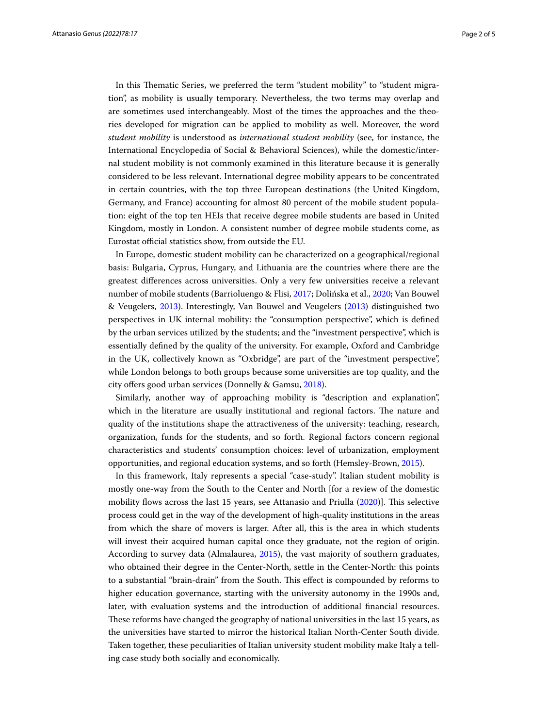In this Thematic Series, we preferred the term "student mobility" to "student migration", as mobility is usually temporary. Nevertheless, the two terms may overlap and are sometimes used interchangeably. Most of the times the approaches and the theories developed for migration can be applied to mobility as well. Moreover, the word *student mobility* is understood as *international student mobility* (see, for instance, the International Encyclopedia of Social & Behavioral Sciences), while the domestic/internal student mobility is not commonly examined in this literature because it is generally considered to be less relevant. International degree mobility appears to be concentrated in certain countries, with the top three European destinations (the United Kingdom, Germany, and France) accounting for almost 80 percent of the mobile student population: eight of the top ten HEIs that receive degree mobile students are based in United Kingdom, mostly in London. A consistent number of degree mobile students come, as Eurostat official statistics show, from outside the EU.

In Europe, domestic student mobility can be characterized on a geographical/regional basis: Bulgaria, Cyprus, Hungary, and Lithuania are the countries where there are the greatest diferences across universities. Only a very few universities receive a relevant number of mobile students (Barrioluengo & Flisi, [2017;](#page-3-0) Dolińska et al., [2020;](#page-3-1) Van Bouwel & Veugelers, [2013\)](#page-3-2). Interestingly, Van Bouwel and Veugelers ([2013](#page-3-2)) distinguished two perspectives in UK internal mobility: the "consumption perspective", which is defned by the urban services utilized by the students; and the "investment perspective", which is essentially defned by the quality of the university. For example, Oxford and Cambridge in the UK, collectively known as "Oxbridge", are part of the "investment perspective", while London belongs to both groups because some universities are top quality, and the city offers good urban services (Donnelly & Gamsu, [2018\)](#page-3-3).

Similarly, another way of approaching mobility is "description and explanation", which in the literature are usually institutional and regional factors. The nature and quality of the institutions shape the attractiveness of the university: teaching, research, organization, funds for the students, and so forth. Regional factors concern regional characteristics and students' consumption choices: level of urbanization, employment opportunities, and regional education systems, and so forth (Hemsley-Brown, [2015](#page-3-4)).

In this framework, Italy represents a special "case-study". Italian student mobility is mostly one-way from the South to the Center and North [for a review of the domestic mobility fows across the last 15 years, see Attanasio and Priulla ([2020\)](#page-3-5)]. Tis selective process could get in the way of the development of high-quality institutions in the areas from which the share of movers is larger. After all, this is the area in which students will invest their acquired human capital once they graduate, not the region of origin. According to survey data (Almalaurea, [2015\)](#page-3-6), the vast majority of southern graduates, who obtained their degree in the Center-North, settle in the Center-North: this points to a substantial "brain-drain" from the South. Tis efect is compounded by reforms to higher education governance, starting with the university autonomy in the 1990s and, later, with evaluation systems and the introduction of additional fnancial resources. These reforms have changed the geography of national universities in the last 15 years, as the universities have started to mirror the historical Italian North-Center South divide. Taken together, these peculiarities of Italian university student mobility make Italy a telling case study both socially and economically.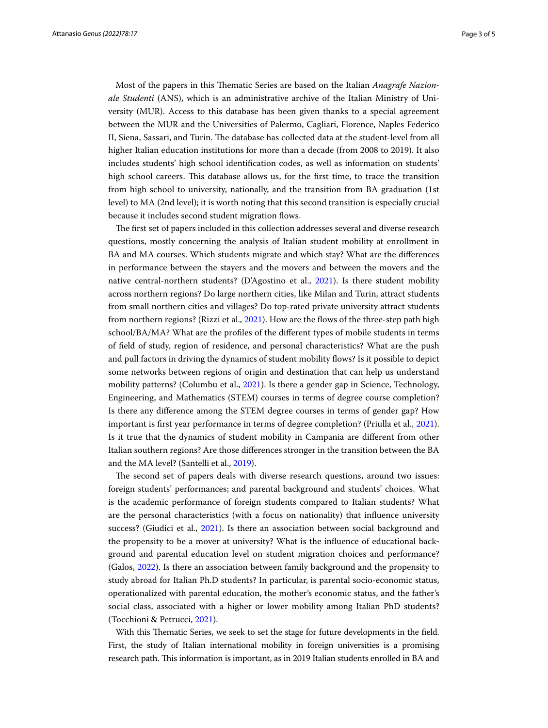Most of the papers in this Thematic Series are based on the Italian *Anagrafe Nazionale Studenti* (ANS), which is an administrative archive of the Italian Ministry of University (MUR). Access to this database has been given thanks to a special agreement between the MUR and the Universities of Palermo, Cagliari, Florence, Naples Federico II, Siena, Sassari, and Turin. The database has collected data at the student-level from all higher Italian education institutions for more than a decade (from 2008 to 2019). It also includes students' high school identifcation codes, as well as information on students' high school careers. This database allows us, for the first time, to trace the transition from high school to university, nationally, and the transition from BA graduation (1st level) to MA (2nd level); it is worth noting that this second transition is especially crucial because it includes second student migration flows.

The first set of papers included in this collection addresses several and diverse research questions, mostly concerning the analysis of Italian student mobility at enrollment in BA and MA courses. Which students migrate and which stay? What are the diferences in performance between the stayers and the movers and between the movers and the native central-northern students? (D'Agostino et al., [2021](#page-3-7)). Is there student mobility across northern regions? Do large northern cities, like Milan and Turin, attract students from small northern cities and villages? Do top-rated private university attract students from northern regions? (Rizzi et al., [2021](#page-3-8)). How are the fows of the three-step path high school/BA/MA? What are the profles of the diferent types of mobile students in terms of feld of study, region of residence, and personal characteristics? What are the push and pull factors in driving the dynamics of student mobility fows? Is it possible to depict some networks between regions of origin and destination that can help us understand mobility patterns? (Columbu et al., [2021\)](#page-3-9). Is there a gender gap in Science, Technology, Engineering, and Mathematics (STEM) courses in terms of degree course completion? Is there any diference among the STEM degree courses in terms of gender gap? How important is frst year performance in terms of degree completion? (Priulla et al., [2021](#page-3-10)). Is it true that the dynamics of student mobility in Campania are diferent from other Italian southern regions? Are those diferences stronger in the transition between the BA and the MA level? (Santelli et al., [2019](#page-3-11)).

The second set of papers deals with diverse research questions, around two issues: foreign students' performances; and parental background and students' choices. What is the academic performance of foreign students compared to Italian students? What are the personal characteristics (with a focus on nationality) that infuence university success? (Giudici et al., [2021](#page-3-12)). Is there an association between social background and the propensity to be a mover at university? What is the infuence of educational background and parental education level on student migration choices and performance? (Galos, [2022](#page-3-13)). Is there an association between family background and the propensity to study abroad for Italian Ph.D students? In particular, is parental socio-economic status, operationalized with parental education, the mother's economic status, and the father's social class, associated with a higher or lower mobility among Italian PhD students? (Tocchioni & Petrucci, [2021\)](#page-3-14).

With this Thematic Series, we seek to set the stage for future developments in the field. First, the study of Italian international mobility in foreign universities is a promising research path. Tis information is important, as in 2019 Italian students enrolled in BA and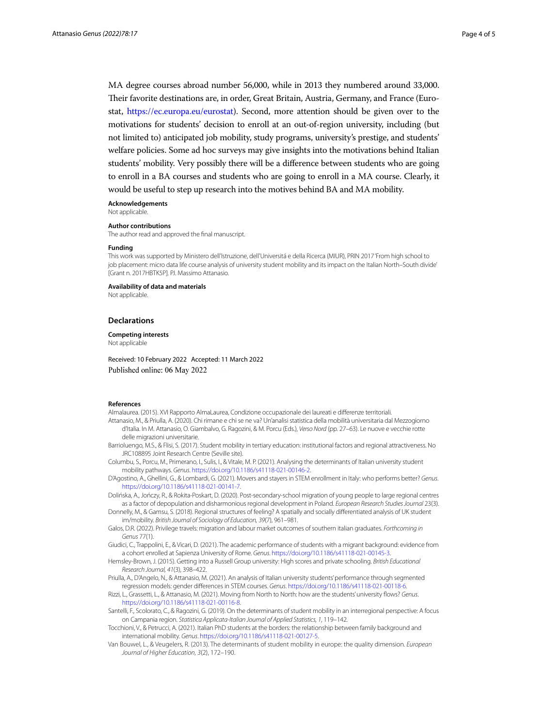MA degree courses abroad number 56,000, while in 2013 they numbered around 33,000. Their favorite destinations are, in order, Great Britain, Austria, Germany, and France (Eurostat, [https://ec.europa.eu/eurostat\)](https://ec.europa.eu/eurostat). Second, more attention should be given over to the motivations for students' decision to enroll at an out-of-region university, including (but not limited to) anticipated job mobility, study programs, university's prestige, and students' welfare policies. Some ad hoc surveys may give insights into the motivations behind Italian students' mobility. Very possibly there will be a diference between students who are going to enroll in a BA courses and students who are going to enroll in a MA course. Clearly, it would be useful to step up research into the motives behind BA and MA mobility.

**Acknowledgements**

Not applicable.

#### **Author contributions**

The author read and approved the fnal manuscript.

#### **Funding**

This work was supported by Ministero dell'Istruzione, dell'Universitá e della Ricerca (MIUR), PRIN 2017 'From high school to job placement: micro data life course analysis of university student mobility and its impact on the Italian North–South divide' [Grant n. 2017HBTK5P]. P.I. Massimo Attanasio.

**Availability of data and materials**

Not applicable.

#### **Declarations**

**Competing interests** Not applicable

Received: 10 February 2022 Accepted: 11 March 2022 Published online: 06 May 2022

#### **References**

<span id="page-3-6"></span>Almalaurea. (2015). XVI Rapporto AlmaLaurea, Condizione occupazionale dei laureati e diferenze territoriali.

- <span id="page-3-5"></span>Attanasio, M., & Priulla, A. (2020). Chi rimane e chi se ne va? Un'analisi statistica della mobilità universitaria dal Mezzogiorno d'Italia. In M. Attanasio, O. Giambalvo, G. Ragozini, & M. Porcu (Eds.), *Verso Nord* (pp. 27–63). Le nuove e vecchie rotte delle migrazioni universitarie.
- <span id="page-3-0"></span>Barrioluengo, M.S., & Flisi, S. (2017). Student mobility in tertiary education: institutional factors and regional attractiveness. No JRC108895 Joint Research Centre (Seville site).
- <span id="page-3-9"></span>Columbu, S., Porcu, M., Primerano, I., Sulis, I., & Vitale, M. P. (2021). Analysing the determinants of Italian university student mobility pathways. *Genus*. [https://doi.org/10.1186/s41118-021-00146-2.](https://doi.org/10.1186/s41118-021-00146-2)
- <span id="page-3-7"></span>D'Agostino, A., Ghellini, G., & Lombardi, G. (2021). Movers and stayers in STEM enrollment in Italy: who performs better? *Genus*. [https://doi.org/10.1186/s41118-021-00141-7.](https://doi.org/10.1186/s41118-021-00141-7)
- <span id="page-3-1"></span>Dolińska, A., Jończy, R., & Rokita-Poskart, D. (2020). Post-secondary-school migration of young people to large regional centres as a factor of depopulation and disharmonious regional development in Poland. *European Research Studies Journal* 23(3).
- <span id="page-3-3"></span>Donnelly, M., & Gamsu, S. (2018). Regional structures of feeling? A spatially and socially diferentiated analysis of UK student im/mobility. *British Journal of Sociology of Education, 39*(7), 961–981.
- <span id="page-3-13"></span>Galos, D.R. (2022). Privilege travels: migration and labour market outcomes of southern italian graduates. *Forthcoming in Genus* 77(1).
- <span id="page-3-12"></span>Giudici, C., Trappolini, E., & Vicari, D. (2021). The academic performance of students with a migrant background: evidence from a cohort enrolled at Sapienza University of Rome. *Genus*. [https://doi.org/10.1186/s41118-021-00145-3.](https://doi.org/10.1186/s41118-021-00145-3)
- <span id="page-3-4"></span>Hemsley-Brown, J. (2015). Getting into a Russell Group university: High scores and private schooling. *British Educational Research Journal, 41*(3), 398–422.
- <span id="page-3-10"></span>Priulla, A., D'Angelo, N., & Attanasio, M. (2021). An analysis of Italian university students' performance through segmented regression models: gender diferences in STEM courses. *Genus*.<https://doi.org/10.1186/s41118-021-00118-6>.
- <span id="page-3-8"></span>Rizzi, L., Grassetti, L., & Attanasio, M. (2021). Moving from North to North: how are the students' university fows? *Genus*. [https://doi.org/10.1186/s41118-021-00116-8.](https://doi.org/10.1186/s41118-021-00116-8)
- <span id="page-3-11"></span>Santelli, F., Scolorato, C., & Ragozini, G. (2019). On the determinants of student mobility in an interregional perspective: A focus on Campania region. *Statistica Applicata-Italian Journal of Applied Statistics, 1*, 119–142.
- <span id="page-3-14"></span>Tocchioni, V., & Petrucci, A. (2021). Italian PhD students at the borders: the relationship between family background and international mobility. *Genus*. [https://doi.org/10.1186/s41118-021-00127-5.](https://doi.org/10.1186/s41118-021-00127-5)
- <span id="page-3-2"></span>Van Bouwel, L., & Veugelers, R. (2013). The determinants of student mobility in europe: the quality dimension. *European Journal of Higher Education, 3*(2), 172–190.